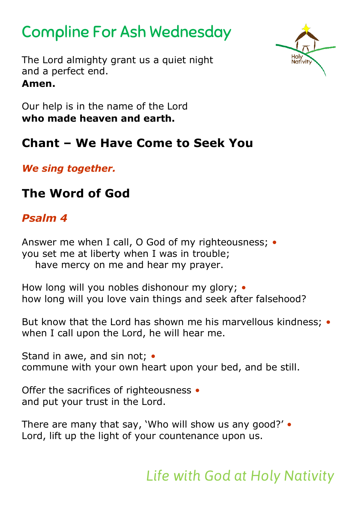# Compline For Ash Wednesday

The Lord almighty grant us a quiet night and a perfect end. **Amen.**



Our help is in the name of the Lord **who made heaven and earth.**

## **Chant – We Have Come to Seek You**

*We sing together.*

## **The Word of God**

### *Psalm 4*

Answer me when I call, O God of my righteousness; *•* you set me at liberty when I was in trouble; have mercy on me and hear my prayer.

How long will you nobles dishonour my glory; *•* how long will you love vain things and seek after falsehood?

But know that the Lord has shown me his marvellous kindness; *•* when I call upon the Lord, he will hear me.

Stand in awe, and sin not; *•* commune with your own heart upon your bed, and be still.

Offer the sacrifices of righteousness *•* and put your trust in the Lord.

There are many that say, 'Who will show us any good?' *•* Lord, lift up the light of your countenance upon us.

*Life with God at Holy Nativity*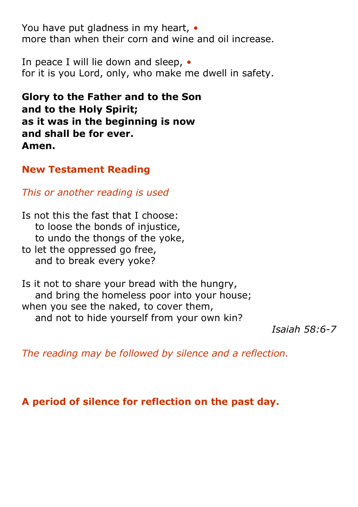You have put gladness in my heart, *•* more than when their corn and wine and oil increase.

In peace I will lie down and sleep, *•* for it is you Lord, only, who make me dwell in safety.

**Glory to the Father and to the Son and to the Holy Spirit; as it was in the beginning is now and shall be for ever. Amen.** 

#### **New Testament Reading**

*This or another reading is used*

Is not this the fast that I choose: to loose the bonds of injustice, to undo the thongs of the yoke,

to let the oppressed go free, and to break every yoke?

Is it not to share your bread with the hungry, and bring the homeless poor into your house; when you see the naked, to cover them, and not to hide yourself from your own kin?

*Isaiah 58:6-7*

*The reading may be followed by silence and a reflection.*

**A period of silence for reflection on the past day.**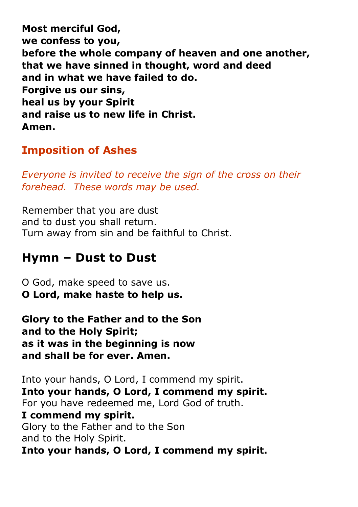**Most merciful God, we confess to you, before the whole company of heaven and one another, that we have sinned in thought, word and deed and in what we have failed to do. Forgive us our sins, heal us by your Spirit and raise us to new life in Christ. Amen.**

### **Imposition of Ashes**

*Everyone is invited to receive the sign of the cross on their forehead. These words may be used.*

Remember that you are dust and to dust you shall return. Turn away from sin and be faithful to Christ.

## **Hymn – Dust to Dust**

O God, make speed to save us. **O Lord, make haste to help us.**

**Glory to the Father and to the Son and to the Holy Spirit; as it was in the beginning is now and shall be for ever. Amen.** 

Into your hands, O Lord, I commend my spirit. **Into your hands, O Lord, I commend my spirit.** For you have redeemed me, Lord God of truth. **I commend my spirit.** Glory to the Father and to the Son and to the Holy Spirit. **Into your hands, O Lord, I commend my spirit.**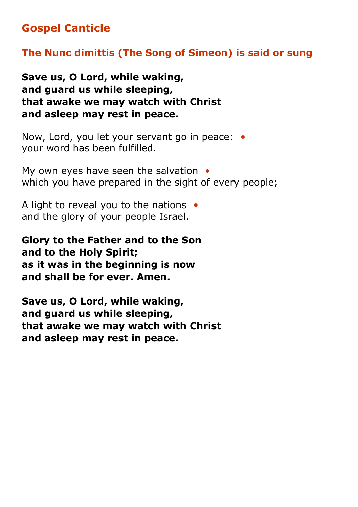### **Gospel Canticle**

#### **The Nunc dimittis (The Song of Simeon) is said or sung**

**Save us, O Lord, while waking, and guard us while sleeping, that awake we may watch with Christ and asleep may rest in peace.**

Now, Lord, you let your servant go in peace: *•* your word has been fulfilled.

My own eyes have seen the salvation *•* which you have prepared in the sight of every people;

A light to reveal you to the nations *•* and the glory of your people Israel.

**Glory to the Father and to the Son and to the Holy Spirit; as it was in the beginning is now and shall be for ever. Amen.**

**Save us, O Lord, while waking, and guard us while sleeping, that awake we may watch with Christ and asleep may rest in peace.**